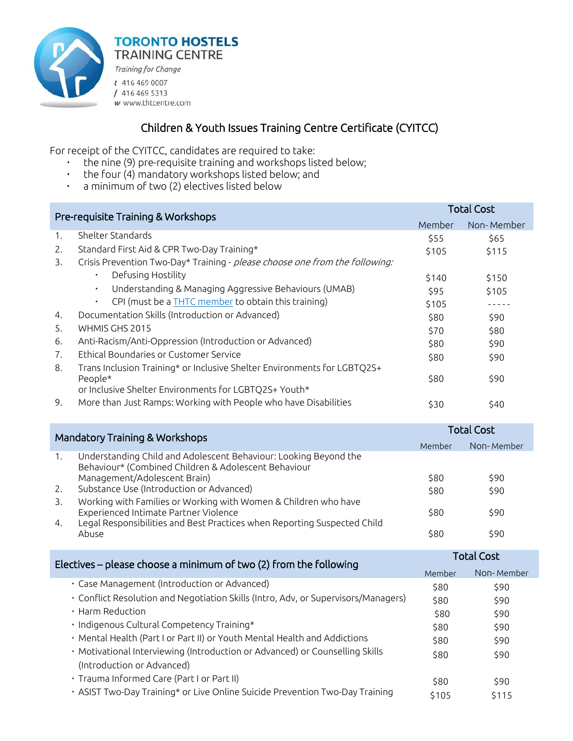

Training for Change  $t$  416 469 0007 f 416 469 5313 w www.thtcentre.com

**TORONTO HOSTELS TRAINING CENTRE** 

## Children & Youth Issues Training Centre Certificate (CYITCC)

For receipt of the CYITCC, candidates are required to take:

- the nine (9) pre-requisite training and workshops listed below;
- the four (4) mandatory workshops listed below; and
- a minimum of two (2) electives listed below

| Pre-requisite Training & Workshops |                                                                                                                          | <b>Total Cost</b>                      |                      |
|------------------------------------|--------------------------------------------------------------------------------------------------------------------------|----------------------------------------|----------------------|
|                                    |                                                                                                                          | <b>Member</b>                          | Non-Member           |
| 1.                                 | Shelter Standards                                                                                                        | \$55                                   | \$65                 |
| 2.                                 | Standard First Aid & CPR Two-Day Training*                                                                               | \$105                                  | \$115                |
| 3.                                 | Crisis Prevention Two-Day* Training - please choose one from the following:                                              |                                        |                      |
|                                    | Defusing Hostility                                                                                                       | \$140                                  | \$150                |
|                                    | Understanding & Managing Aggressive Behaviours (UMAB)<br>$\blacksquare$                                                  | \$95                                   | \$105                |
|                                    | CPI (must be a <b>THTC</b> member to obtain this training)<br>$\blacksquare$                                             | \$105                                  |                      |
| 4.                                 | Documentation Skills (Introduction or Advanced)                                                                          | \$80                                   | \$90                 |
| 5.                                 | WHMIS GHS 2015                                                                                                           | \$70                                   | \$80                 |
| 6.                                 | Anti-Racism/Anti-Oppression (Introduction or Advanced)                                                                   | \$80                                   | \$90                 |
| 7.                                 | Ethical Boundaries or Customer Service                                                                                   | \$80                                   | \$90                 |
| 8.                                 | Trans Inclusion Training* or Inclusive Shelter Environments for LGBTQ2S+<br>People*                                      | \$80                                   | \$90                 |
|                                    | or Inclusive Shelter Environments for LGBTQ2S+ Youth*                                                                    |                                        |                      |
| 9.                                 | More than Just Ramps: Working with People who have Disabilities                                                          | \$30                                   | \$40                 |
|                                    |                                                                                                                          | <b>Total Cost</b>                      |                      |
|                                    | <b>Mandatory Training &amp; Workshops</b>                                                                                | Member                                 | Non-Member           |
| 1.                                 | Understanding Child and Adolescent Behaviour: Looking Beyond the<br>Behaviour* (Combined Children & Adolescent Behaviour |                                        |                      |
|                                    | Management/Adolescent Brain)                                                                                             | \$80                                   | \$90                 |
| 2.                                 | Substance Use (Introduction or Advanced)                                                                                 | \$80                                   | \$90                 |
| 3.                                 | Working with Families or Working with Women & Children who have                                                          | $\mathbf{1}$ $\mathbf{2}$ $\mathbf{3}$ | $\sim$ $\sim$ $\sim$ |

Experienced Intimate Partner Violence \$80 \$90 4. Legal Responsibilities and Best Practices when Reporting Suspected Child Abuse \$80 \$90

| Electives – please choose a minimum of two (2) from the following                                          |       | <b>Total Cost</b> |  |
|------------------------------------------------------------------------------------------------------------|-------|-------------------|--|
|                                                                                                            |       | Non-Member        |  |
| · Case Management (Introduction or Advanced)                                                               | \$80  | \$90              |  |
| · Conflict Resolution and Negotiation Skills (Intro, Adv, or Supervisors/Managers)                         | \$80  | \$90              |  |
| Harm Reduction                                                                                             | \$80  | \$90              |  |
| · Indigenous Cultural Competency Training*                                                                 | \$80  | \$90              |  |
| · Mental Health (Part I or Part II) or Youth Mental Health and Addictions                                  | \$80  | \$90              |  |
| · Motivational Interviewing (Introduction or Advanced) or Counselling Skills<br>(Introduction or Advanced) | \$80  | \$90              |  |
| · Trauma Informed Care (Part I or Part II)                                                                 | \$80  | \$90              |  |
| · ASIST Two-Day Training* or Live Online Suicide Prevention Two-Day Training                               | \$105 | \$115             |  |